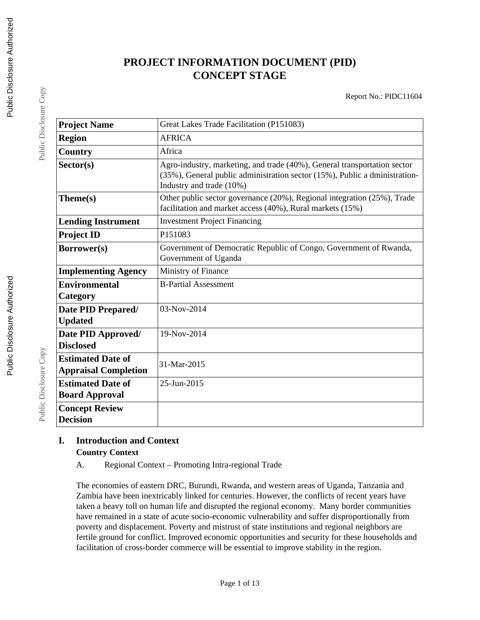# **PROJECT INFORMATION DOCUMENT (PID) CONCEPT STAGE**

Report No.: PIDC11604

| <b>Project Name</b>                                     | Great Lakes Trade Facilitation (P151083)                                                                                                                                           |  |  |
|---------------------------------------------------------|------------------------------------------------------------------------------------------------------------------------------------------------------------------------------------|--|--|
| <b>Region</b>                                           | <b>AFRICA</b>                                                                                                                                                                      |  |  |
| Country                                                 | Africa                                                                                                                                                                             |  |  |
| Sector(s)                                               | Agro-industry, marketing, and trade (40%), General transportation sector<br>(35%), General public administration sector (15%), Public a dministration-<br>Industry and trade (10%) |  |  |
| Theme(s)                                                | Other public sector governance (20%), Regional integration (25%), Trade<br>facilitation and market access (40%), Rural markets (15%)                                               |  |  |
| <b>Lending Instrument</b>                               | <b>Investment Project Financing</b>                                                                                                                                                |  |  |
| <b>Project ID</b>                                       | P151083                                                                                                                                                                            |  |  |
| Borrower(s)                                             | Government of Democratic Republic of Congo, Government of Rwanda,<br>Government of Uganda                                                                                          |  |  |
| <b>Implementing Agency</b>                              | Ministry of Finance                                                                                                                                                                |  |  |
| <b>Environmental</b><br>Category                        | <b>B-Partial Assessment</b>                                                                                                                                                        |  |  |
| Date PID Prepared/<br><b>Updated</b>                    | 03-Nov-2014                                                                                                                                                                        |  |  |
| Date PID Approved/<br><b>Disclosed</b>                  | 19-Nov-2014                                                                                                                                                                        |  |  |
| <b>Estimated Date of</b><br><b>Appraisal Completion</b> | 31-Mar-2015                                                                                                                                                                        |  |  |
| <b>Estimated Date of</b><br><b>Board Approval</b>       | 25-Jun-2015                                                                                                                                                                        |  |  |
| <b>Concept Review</b><br><b>Decision</b>                |                                                                                                                                                                                    |  |  |

## **I. Introduction and Context Country Context**

A. Regional Context – Promoting Intra-regional Trade

The economies of eastern DRC, Burundi, Rwanda, and western areas of Uganda, Tanzania and Zambia have been inextricably linked for centuries. However, the conflicts of recent years have taken a heavy toll on human life and disrupted the regional economy. Many border communities have remained in a state of acute socio-economic vulnerability and suffer disproportionally from poverty and displacement. Poverty and mistrust of state institutions and regional neighbors are fertile ground for conflict. Improved economic opportunities and security for these households and facilitation of cross-border commerce will be essential to improve stability in the region.

Public Disclosure Copy

Public Disclosure Copy

Public Disclosure Copy

Public Disclosure Copy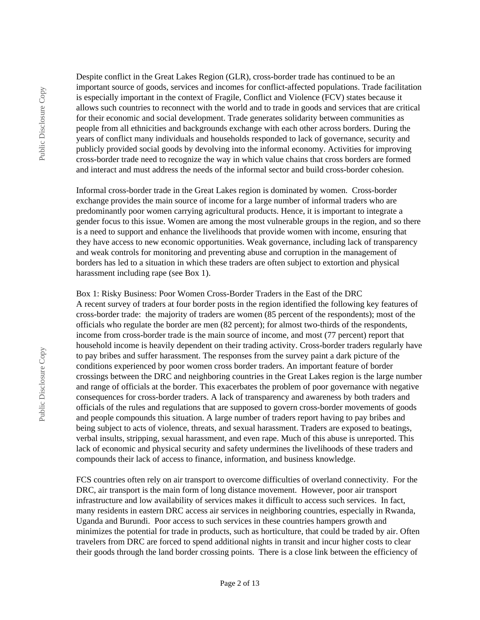Despite conflict in the Great Lakes Region (GLR), cross-border trade has continued to be an important source of goods, services and incomes for conflict-affected populations. Trade facilitation is especially important in the context of Fragile, Conflict and Violence (FCV) states because it allows such countries to reconnect with the world and to trade in goods and services that are critical for their economic and social development. Trade generates solidarity between communities as people from all ethnicities and backgrounds exchange with each other across borders. During the years of conflict many individuals and households responded to lack of governance, security and publicly provided social goods by devolving into the informal economy. Activities for improving cross-border trade need to recognize the way in which value chains that cross borders are formed and interact and must address the needs of the informal sector and build cross-border cohesion.

Informal cross-border trade in the Great Lakes region is dominated by women. Cross-border exchange provides the main source of income for a large number of informal traders who are predominantly poor women carrying agricultural products. Hence, it is important to integrate a gender focus to this issue. Women are among the most vulnerable groups in the region, and so there is a need to support and enhance the livelihoods that provide women with income, ensuring that they have access to new economic opportunities. Weak governance, including lack of transparency and weak controls for monitoring and preventing abuse and corruption in the management of borders has led to a situation in which these traders are often subject to extortion and physical harassment including rape (see Box 1).

Box 1: Risky Business: Poor Women Cross-Border Traders in the East of the DRC A recent survey of traders at four border posts in the region identified the following key features of cross-border trade: the majority of traders are women (85 percent of the respondents); most of the officials who regulate the border are men (82 percent); for almost two-thirds of the respondents, income from cross-border trade is the main source of income, and most (77 percent) report that household income is heavily dependent on their trading activity. Cross-border traders regularly have to pay bribes and suffer harassment. The responses from the survey paint a dark picture of the conditions experienced by poor women cross border traders. An important feature of border crossings between the DRC and neighboring countries in the Great Lakes region is the large number and range of officials at the border. This exacerbates the problem of poor governance with negative consequences for cross-border traders. A lack of transparency and awareness by both traders and officials of the rules and regulations that are supposed to govern cross-border movements of goods and people compounds this situation. A large number of traders report having to pay bribes and being subject to acts of violence, threats, and sexual harassment. Traders are exposed to beatings, verbal insults, stripping, sexual harassment, and even rape. Much of this abuse is unreported. This lack of economic and physical security and safety undermines the livelihoods of these traders and compounds their lack of access to finance, information, and business knowledge.

FCS countries often rely on air transport to overcome difficulties of overland connectivity. For the DRC, air transport is the main form of long distance movement. However, poor air transport infrastructure and low availability of services makes it difficult to access such services. In fact, many residents in eastern DRC access air services in neighboring countries, especially in Rwanda, Uganda and Burundi. Poor access to such services in these countries hampers growth and minimizes the potential for trade in products, such as horticulture, that could be traded by air. Often travelers from DRC are forced to spend additional nights in transit and incur higher costs to clear their goods through the land border crossing points. There is a close link between the efficiency of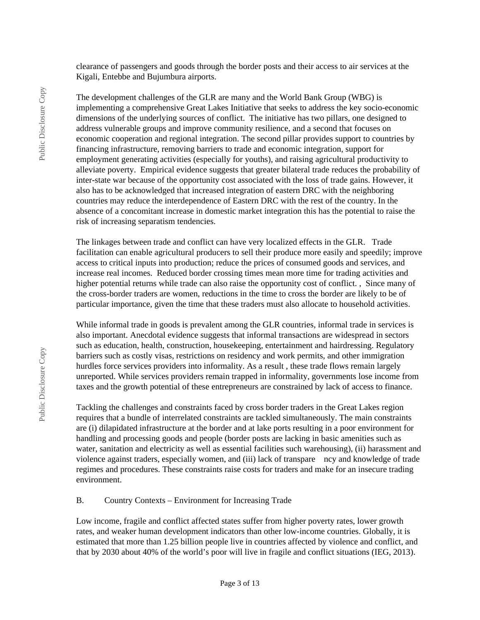clearance of passengers and goods through the border posts and their access to air services at the Kigali, Entebbe and Bujumbura airports.

The development challenges of the GLR are many and the World Bank Group (WBG) is implementing a comprehensive Great Lakes Initiative that seeks to address the key socio-economic dimensions of the underlying sources of conflict. The initiative has two pillars, one designed to address vulnerable groups and improve community resilience, and a second that focuses on economic cooperation and regional integration. The second pillar provides support to countries by financing infrastructure, removing barriers to trade and economic integration, support for employment generating activities (especially for youths), and raising agricultural productivity to alleviate poverty. Empirical evidence suggests that greater bilateral trade reduces the probability of inter-state war because of the opportunity cost associated with the loss of trade gains. However, it also has to be acknowledged that increased integration of eastern DRC with the neighboring countries may reduce the interdependence of Eastern DRC with the rest of the country. In the absence of a concomitant increase in domestic market integration this has the potential to raise the risk of increasing separatism tendencies.

The linkages between trade and conflict can have very localized effects in the GLR. Trade facilitation can enable agricultural producers to sell their produce more easily and speedily; improve access to critical inputs into production; reduce the prices of consumed goods and services, and increase real incomes. Reduced border crossing times mean more time for trading activities and higher potential returns while trade can also raise the opportunity cost of conflict. , Since many of the cross-border traders are women, reductions in the time to cross the border are likely to be of particular importance, given the time that these traders must also allocate to household activities.

While informal trade in goods is prevalent among the GLR countries, informal trade in services is also important. Anecdotal evidence suggests that informal transactions are widespread in sectors such as education, health, construction, housekeeping, entertainment and hairdressing. Regulatory barriers such as costly visas, restrictions on residency and work permits, and other immigration hurdles force services providers into informality. As a result , these trade flows remain largely unreported. While services providers remain trapped in informality, governments lose income from taxes and the growth potential of these entrepreneurs are constrained by lack of access to finance.

Tackling the challenges and constraints faced by cross border traders in the Great Lakes region requires that a bundle of interrelated constraints are tackled simultaneously. The main constraints are (i) dilapidated infrastructure at the border and at lake ports resulting in a poor environment for handling and processing goods and people (border posts are lacking in basic amenities such as water, sanitation and electricity as well as essential facilities such warehousing), (ii) harassment and violence against traders, especially women, and (iii) lack of transpare ncy and knowledge of trade regimes and procedures. These constraints raise costs for traders and make for an insecure trading environment.

#### B. Country Contexts – Environment for Increasing Trade

Low income, fragile and conflict affected states suffer from higher poverty rates, lower growth rates, and weaker human development indicators than other low-income countries. Globally, it is estimated that more than 1.25 billion people live in countries affected by violence and conflict, and that by 2030 about 40% of the world's poor will live in fragile and conflict situations (IEG, 2013).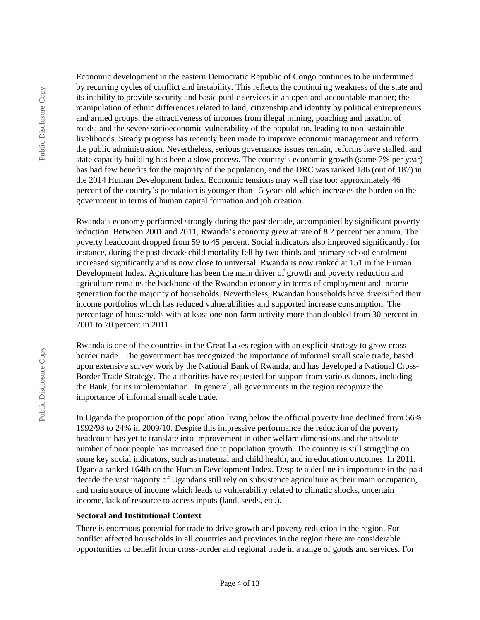Economic development in the eastern Democratic Republic of Congo continues to be undermined by recurring cycles of conflict and instability. This reflects the continui ng weakness of the state and its inability to provide security and basic public services in an open and accountable manner; the manipulation of ethnic differences related to land, citizenship and identity by political entrepreneurs and armed groups; the attractiveness of incomes from illegal mining, poaching and taxation of roads; and the severe socioeconomic vulnerability of the population, leading to non-sustainable livelihoods. Steady progress has recently been made to improve economic management and reform the public administration. Nevertheless, serious governance issues remain, reforms have stalled, and state capacity building has been a slow process. The country's economic growth (some 7% per year) has had few benefits for the majority of the population, and the DRC was ranked 186 (out of 187) in the 2014 Human Development Index. Economic tensions may well rise too: approximately 46 percent of the country's population is younger than 15 years old which increases the burden on the government in terms of human capital formation and job creation.

Rwanda's economy performed strongly during the past decade, accompanied by significant poverty reduction. Between 2001 and 2011, Rwanda's economy grew at rate of 8.2 percent per annum. The poverty headcount dropped from 59 to 45 percent. Social indicators also improved significantly: for instance, during the past decade child mortality fell by two-thirds and primary school enrolment increased significantly and is now close to universal. Rwanda is now ranked at 151 in the Human Development Index. Agriculture has been the main driver of growth and poverty reduction and agriculture remains the backbone of the Rwandan economy in terms of employment and incomegeneration for the majority of households. Nevertheless, Rwandan households have diversified their income portfolios which has reduced vulnerabilities and supported increase consumption. The percentage of households with at least one non-farm activity more than doubled from 30 percent in 2001 to 70 percent in 2011.

Rwanda is one of the countries in the Great Lakes region with an explicit strategy to grow crossborder trade. The government has recognized the importance of informal small scale trade, based upon extensive survey work by the National Bank of Rwanda, and has developed a National Cross-Border Trade Strategy. The authorities have requested for support from various donors, including the Bank, for its implementation. In general, all governments in the region recognize the importance of informal small scale trade.

In Uganda the proportion of the population living below the official poverty line declined from 56% 1992/93 to 24% in 2009/10. Despite this impressive performance the reduction of the poverty headcount has yet to translate into improvement in other welfare dimensions and the absolute number of poor people has increased due to population growth. The country is still struggling on some key social indicators, such as maternal and child health, and in education outcomes. In 2011, Uganda ranked 164th on the Human Development Index. Despite a decline in importance in the past decade the vast majority of Ugandans still rely on subsistence agriculture as their main occupation, and main source of income which leads to vulnerability related to climatic shocks, uncertain income, lack of resource to access inputs (land, seeds, etc.).

#### **Sectoral and Institutional Context**

There is enormous potential for trade to drive growth and poverty reduction in the region. For conflict affected households in all countries and provinces in the region there are considerable opportunities to benefit from cross-border and regional trade in a range of goods and services. For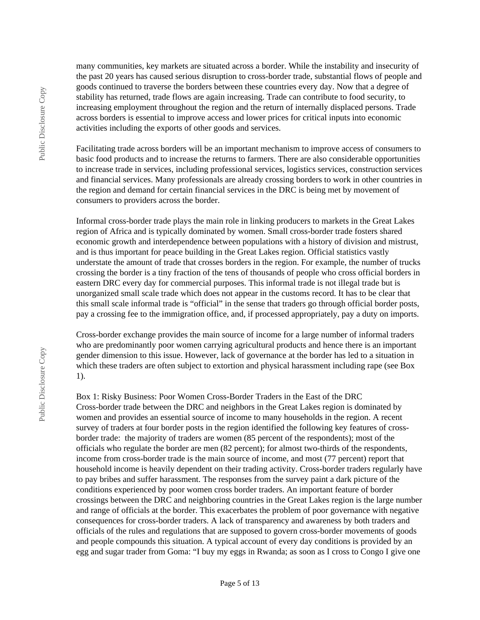many communities, key markets are situated across a border. While the instability and insecurity of the past 20 years has caused serious disruption to cross-border trade, substantial flows of people and goods continued to traverse the borders between these countries every day. Now that a degree of stability has returned, trade flows are again increasing. Trade can contribute to food security, to increasing employment throughout the region and the return of internally displaced persons. Trade across borders is essential to improve access and lower prices for critical inputs into economic activities including the exports of other goods and services.

Facilitating trade across borders will be an important mechanism to improve access of consumers to basic food products and to increase the returns to farmers. There are also considerable opportunities to increase trade in services, including professional services, logistics services, construction services and financial services. Many professionals are already crossing borders to work in other countries in the region and demand for certain financial services in the DRC is being met by movement of consumers to providers across the border.

Informal cross-border trade plays the main role in linking producers to markets in the Great Lakes region of Africa and is typically dominated by women. Small cross-border trade fosters shared economic growth and interdependence between populations with a history of division and mistrust, and is thus important for peace building in the Great Lakes region. Official statistics vastly understate the amount of trade that crosses borders in the region. For example, the number of trucks crossing the border is a tiny fraction of the tens of thousands of people who cross official borders in eastern DRC every day for commercial purposes. This informal trade is not illegal trade but is unorganized small scale trade which does not appear in the customs record. It has to be clear that this small scale informal trade is "official" in the sense that traders go through official border posts, pay a crossing fee to the immigration office, and, if processed appropriately, pay a duty on imports.

Cross-border exchange provides the main source of income for a large number of informal traders who are predominantly poor women carrying agricultural products and hence there is an important gender dimension to this issue. However, lack of governance at the border has led to a situation in which these traders are often subject to extortion and physical harassment including rape (see Box 1).

Box 1: Risky Business: Poor Women Cross-Border Traders in the East of the DRC Cross-border trade between the DRC and neighbors in the Great Lakes region is dominated by women and provides an essential source of income to many households in the region. A recent survey of traders at four border posts in the region identified the following key features of crossborder trade: the majority of traders are women (85 percent of the respondents); most of the officials who regulate the border are men (82 percent); for almost two-thirds of the respondents, income from cross-border trade is the main source of income, and most (77 percent) report that household income is heavily dependent on their trading activity. Cross-border traders regularly have to pay bribes and suffer harassment. The responses from the survey paint a dark picture of the conditions experienced by poor women cross border traders. An important feature of border crossings between the DRC and neighboring countries in the Great Lakes region is the large number and range of officials at the border. This exacerbates the problem of poor governance with negative consequences for cross-border traders. A lack of transparency and awareness by both traders and officials of the rules and regulations that are supposed to govern cross-border movements of goods and people compounds this situation. A typical account of every day conditions is provided by an egg and sugar trader from Goma: "I buy my eggs in Rwanda; as soon as I cross to Congo I give one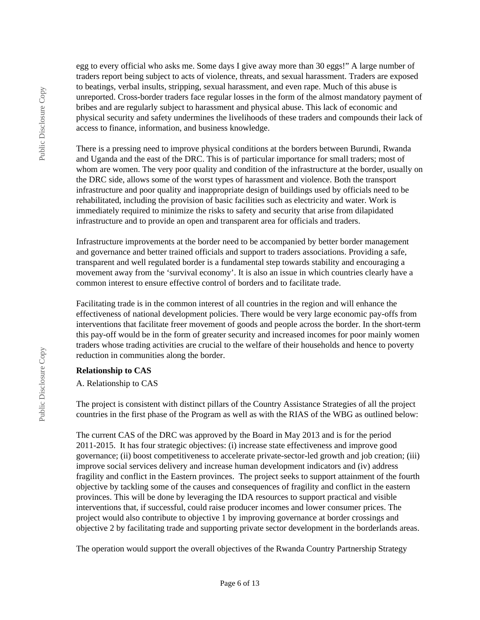egg to every official who asks me. Some days I give away more than 30 eggs!" A large number of traders report being subject to acts of violence, threats, and sexual harassment. Traders are exposed to beatings, verbal insults, stripping, sexual harassment, and even rape. Much of this abuse is unreported. Cross-border traders face regular losses in the form of the almost mandatory payment of bribes and are regularly subject to harassment and physical abuse. This lack of economic and physical security and safety undermines the livelihoods of these traders and compounds their lack of access to finance, information, and business knowledge.

There is a pressing need to improve physical conditions at the borders between Burundi, Rwanda and Uganda and the east of the DRC. This is of particular importance for small traders; most of whom are women. The very poor quality and condition of the infrastructure at the border, usually on the DRC side, allows some of the worst types of harassment and violence. Both the transport infrastructure and poor quality and inappropriate design of buildings used by officials need to be rehabilitated, including the provision of basic facilities such as electricity and water. Work is immediately required to minimize the risks to safety and security that arise from dilapidated infrastructure and to provide an open and transparent area for officials and traders.

Infrastructure improvements at the border need to be accompanied by better border management and governance and better trained officials and support to traders associations. Providing a safe, transparent and well regulated border is a fundamental step towards stability and encouraging a movement away from the 'survival economy'. It is also an issue in which countries clearly have a common interest to ensure effective control of borders and to facilitate trade.

Facilitating trade is in the common interest of all countries in the region and will enhance the effectiveness of national development policies. There would be very large economic pay-offs from interventions that facilitate freer movement of goods and people across the border. In the short-term this pay-off would be in the form of greater security and increased incomes for poor mainly women traders whose trading activities are crucial to the welfare of their households and hence to poverty reduction in communities along the border.

### **Relationship to CAS**

A. Relationship to CAS

The project is consistent with distinct pillars of the Country Assistance Strategies of all the project countries in the first phase of the Program as well as with the RIAS of the WBG as outlined below:

The current CAS of the DRC was approved by the Board in May 2013 and is for the period 2011-2015. It has four strategic objectives: (i) increase state effectiveness and improve good governance; (ii) boost competitiveness to accelerate private-sector-led growth and job creation; (iii) improve social services delivery and increase human development indicators and (iv) address fragility and conflict in the Eastern provinces. The project seeks to support attainment of the fourth objective by tackling some of the causes and consequences of fragility and conflict in the eastern provinces. This will be done by leveraging the IDA resources to support practical and visible interventions that, if successful, could raise producer incomes and lower consumer prices. The project would also contribute to objective 1 by improving governance at border crossings and objective 2 by facilitating trade and supporting private sector development in the borderlands areas.

The operation would support the overall objectives of the Rwanda Country Partnership Strategy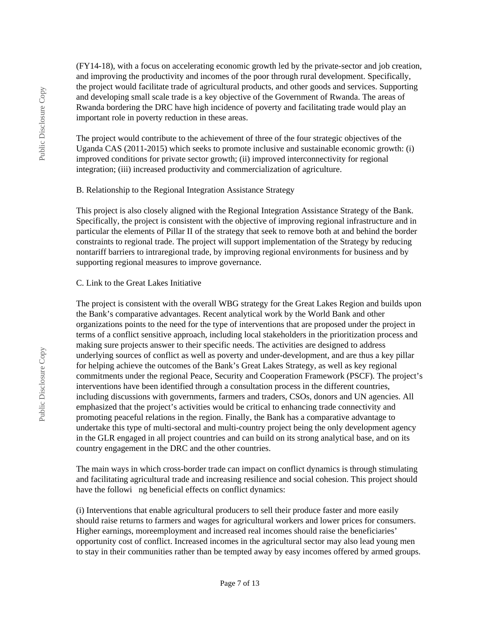(FY14-18), with a focus on accelerating economic growth led by the private-sector and job creation, and improving the productivity and incomes of the poor through rural development. Specifically, the project would facilitate trade of agricultural products, and other goods and services. Supporting and developing small scale trade is a key objective of the Government of Rwanda. The areas of Rwanda bordering the DRC have high incidence of poverty and facilitating trade would play an important role in poverty reduction in these areas.

The project would contribute to the achievement of three of the four strategic objectives of the Uganda CAS (2011-2015) which seeks to promote inclusive and sustainable economic growth: (i) improved conditions for private sector growth; (ii) improved interconnectivity for regional integration; (iii) increased productivity and commercialization of agriculture.

#### B. Relationship to the Regional Integration Assistance Strategy

This project is also closely aligned with the Regional Integration Assistance Strategy of the Bank. Specifically, the project is consistent with the objective of improving regional infrastructure and in particular the elements of Pillar II of the strategy that seek to remove both at and behind the border constraints to regional trade. The project will support implementation of the Strategy by reducing nontariff barriers to intraregional trade, by improving regional environments for business and by supporting regional measures to improve governance.

#### C. Link to the Great Lakes Initiative

The project is consistent with the overall WBG strategy for the Great Lakes Region and builds upon the Bank's comparative advantages. Recent analytical work by the World Bank and other organizations points to the need for the type of interventions that are proposed under the project in terms of a conflict sensitive approach, including local stakeholders in the prioritization process and making sure projects answer to their specific needs. The activities are designed to address underlying sources of conflict as well as poverty and under-development, and are thus a key pillar for helping achieve the outcomes of the Bank's Great Lakes Strategy, as well as key regional commitments under the regional Peace, Security and Cooperation Framework (PSCF). The project's interventions have been identified through a consultation process in the different countries, including discussions with governments, farmers and traders, CSOs, donors and UN agencies. All emphasized that the project's activities would be critical to enhancing trade connectivity and promoting peaceful relations in the region. Finally, the Bank has a comparative advantage to undertake this type of multi-sectoral and multi-country project being the only development agency in the GLR engaged in all project countries and can build on its strong analytical base, and on its country engagement in the DRC and the other countries.

The main ways in which cross-border trade can impact on conflict dynamics is through stimulating and facilitating agricultural trade and increasing resilience and social cohesion. This project should have the followi ng beneficial effects on conflict dynamics:

(i) Interventions that enable agricultural producers to sell their produce faster and more easily should raise returns to farmers and wages for agricultural workers and lower prices for consumers. Higher earnings, moreemployment and increased real incomes should raise the beneficiaries' opportunity cost of conflict. Increased incomes in the agricultural sector may also lead young men to stay in their communities rather than be tempted away by easy incomes offered by armed groups.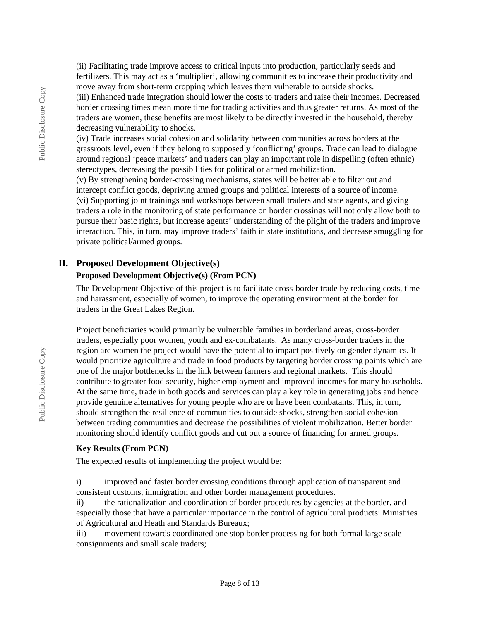(ii) Facilitating trade improve access to critical inputs into production, particularly seeds and fertilizers. This may act as a 'multiplier', allowing communities to increase their productivity and move away from short-term cropping which leaves them vulnerable to outside shocks.

(iii) Enhanced trade integration should lower the costs to traders and raise their incomes. Decreased border crossing times mean more time for trading activities and thus greater returns. As most of the traders are women, these benefits are most likely to be directly invested in the household, thereby decreasing vulnerability to shocks.

(iv) Trade increases social cohesion and solidarity between communities across borders at the grassroots level, even if they belong to supposedly 'conflicting' groups. Trade can lead to dialogue around regional 'peace markets' and traders can play an important role in dispelling (often ethnic) stereotypes, decreasing the possibilities for political or armed mobilization.

(v) By strengthening border-crossing mechanisms, states will be better able to filter out and intercept conflict goods, depriving armed groups and political interests of a source of income. (vi) Supporting joint trainings and workshops between small traders and state agents, and giving traders a role in the monitoring of state performance on border crossings will not only allow both to pursue their basic rights, but increase agents' understanding of the plight of the traders and improve interaction. This, in turn, may improve traders' faith in state institutions, and decrease smuggling for private political/armed groups.

### **II. Proposed Development Objective(s)**

### **Proposed Development Objective(s) (From PCN)**

The Development Objective of this project is to facilitate cross-border trade by reducing costs, time and harassment, especially of women, to improve the operating environment at the border for traders in the Great Lakes Region.

Project beneficiaries would primarily be vulnerable families in borderland areas, cross-border traders, especially poor women, youth and ex-combatants. As many cross-border traders in the region are women the project would have the potential to impact positively on gender dynamics. It would prioritize agriculture and trade in food products by targeting border crossing points which are one of the major bottlenecks in the link between farmers and regional markets. This should contribute to greater food security, higher employment and improved incomes for many households. At the same time, trade in both goods and services can play a key role in generating jobs and hence provide genuine alternatives for young people who are or have been combatants. This, in turn, should strengthen the resilience of communities to outside shocks, strengthen social cohesion between trading communities and decrease the possibilities of violent mobilization. Better border monitoring should identify conflict goods and cut out a source of financing for armed groups.

#### **Key Results (From PCN)**

The expected results of implementing the project would be:

i) improved and faster border crossing conditions through application of transparent and consistent customs, immigration and other border management procedures.

ii) the rationalization and coordination of border procedures by agencies at the border, and especially those that have a particular importance in the control of agricultural products: Ministries of Agricultural and Heath and Standards Bureaux;

iii) movement towards coordinated one stop border processing for both formal large scale consignments and small scale traders;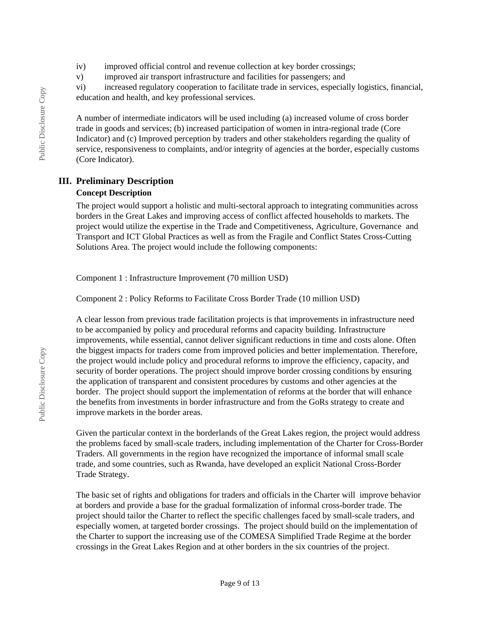- iv) improved official control and revenue collection at key border crossings;
- v) improved air transport infrastructure and facilities for passengers; and

vi) increased regulatory cooperation to facilitate trade in services, especially logistics, financial, education and health, and key professional services.

A number of intermediate indicators will be used including (a) increased volume of cross border trade in goods and services; (b) increased participation of women in intra-regional trade (Core Indicator) and (c) Improved perception by traders and other stakeholders regarding the quality of service, responsiveness to complaints, and/or integrity of agencies at the border, especially customs (Core Indicator).

### **III. Preliminary Description**

### **Concept Description**

The project would support a holistic and multi-sectoral approach to integrating communities across borders in the Great Lakes and improving access of conflict affected households to markets. The project would utilize the expertise in the Trade and Competitiveness, Agriculture, Governance and Transport and ICT Global Practices as well as from the Fragile and Conflict States Cross-Cutting Solutions Area. The project would include the following components:

Component 1 : Infrastructure Improvement (70 million USD)

Component 2 : Policy Reforms to Facilitate Cross Border Trade (10 million USD)

A clear lesson from previous trade facilitation projects is that improvements in infrastructure need to be accompanied by policy and procedural reforms and capacity building. Infrastructure improvements, while essential, cannot deliver significant reductions in time and costs alone. Often the biggest impacts for traders come from improved policies and better implementation. Therefore, the project would include policy and procedural reforms to improve the efficiency, capacity, and security of border operations. The project should improve border crossing conditions by ensuring the application of transparent and consistent procedures by customs and other agencies at the border. The project should support the implementation of reforms at the border that will enhance the benefits from investments in border infrastructure and from the GoRs strategy to create and improve markets in the border areas.

Given the particular context in the borderlands of the Great Lakes region, the project would address the problems faced by small-scale traders, including implementation of the Charter for Cross-Border Traders. All governments in the region have recognized the importance of informal small scale trade, and some countries, such as Rwanda, have developed an explicit National Cross-Border Trade Strategy.

The basic set of rights and obligations for traders and officials in the Charter will improve behavior at borders and provide a base for the gradual formalization of informal cross-border trade. The project should tailor the Charter to reflect the specific challenges faced by small-scale traders, and especially women, at targeted border crossings. The project should build on the implementation of the Charter to support the increasing use of the COMESA Simplified Trade Regime at the border crossings in the Great Lakes Region and at other borders in the six countries of the project.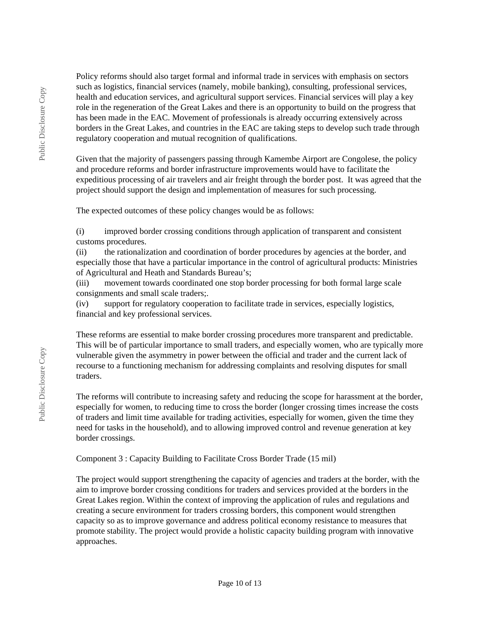Policy reforms should also target formal and informal trade in services with emphasis on sectors such as logistics, financial services (namely, mobile banking), consulting, professional services, health and education services, and agricultural support services. Financial services will play a key role in the regeneration of the Great Lakes and there is an opportunity to build on the progress that has been made in the EAC. Movement of professionals is already occurring extensively across borders in the Great Lakes, and countries in the EAC are taking steps to develop such trade through regulatory cooperation and mutual recognition of qualifications.

Given that the majority of passengers passing through Kamembe Airport are Congolese, the policy and procedure reforms and border infrastructure improvements would have to facilitate the expeditious processing of air travelers and air freight through the border post. It was agreed that the project should support the design and implementation of measures for such processing.

The expected outcomes of these policy changes would be as follows:

(i) improved border crossing conditions through application of transparent and consistent customs procedures.

(ii) the rationalization and coordination of border procedures by agencies at the border, and especially those that have a particular importance in the control of agricultural products: Ministries of Agricultural and Heath and Standards Bureau's;

(iii) movement towards coordinated one stop border processing for both formal large scale consignments and small scale traders;.

(iv) support for regulatory cooperation to facilitate trade in services, especially logistics, financial and key professional services.

These reforms are essential to make border crossing procedures more transparent and predictable. This will be of particular importance to small traders, and especially women, who are typically more vulnerable given the asymmetry in power between the official and trader and the current lack of recourse to a functioning mechanism for addressing complaints and resolving disputes for small traders.

The reforms will contribute to increasing safety and reducing the scope for harassment at the border, especially for women, to reducing time to cross the border (longer crossing times increase the costs of traders and limit time available for trading activities, especially for women, given the time they need for tasks in the household), and to allowing improved control and revenue generation at key border crossings.

Component 3 : Capacity Building to Facilitate Cross Border Trade (15 mil)

The project would support strengthening the capacity of agencies and traders at the border, with the aim to improve border crossing conditions for traders and services provided at the borders in the Great Lakes region. Within the context of improving the application of rules and regulations and creating a secure environment for traders crossing borders, this component would strengthen capacity so as to improve governance and address political economy resistance to measures that promote stability. The project would provide a holistic capacity building program with innovative approaches.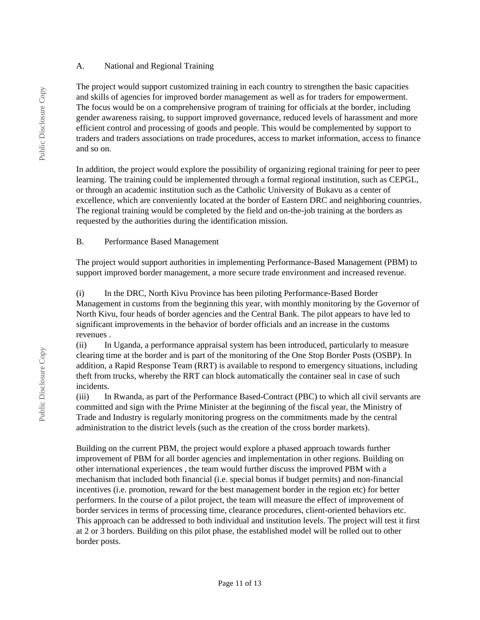#### A. National and Regional Training

The project would support customized training in each country to strengthen the basic capacities and skills of agencies for improved border management as well as for traders for empowerment. The focus would be on a comprehensive program of training for officials at the border, including gender awareness raising, to support improved governance, reduced levels of harassment and more efficient control and processing of goods and people. This would be complemented by support to traders and traders associations on trade procedures, access to market information, access to finance and so on.

In addition, the project would explore the possibility of organizing regional training for peer to peer learning. The training could be implemented through a formal regional institution, such as CEPGL, or through an academic institution such as the Catholic University of Bukavu as a center of excellence, which are conveniently located at the border of Eastern DRC and neighboring countries. The regional training would be completed by the field and on-the-job training at the borders as requested by the authorities during the identification mission.

### B. Performance Based Management

The project would support authorities in implementing Performance-Based Management (PBM) to support improved border management, a more secure trade environment and increased revenue.

(i) In the DRC, North Kivu Province has been piloting Performance-Based Border Management in customs from the beginning this year, with monthly monitoring by the Governor of North Kivu, four heads of border agencies and the Central Bank. The pilot appears to have led to significant improvements in the behavior of border officials and an increase in the customs revenues .

(ii) In Uganda, a performance appraisal system has been introduced, particularly to measure clearing time at the border and is part of the monitoring of the One Stop Border Posts (OSBP). In addition, a Rapid Response Team (RRT) is available to respond to emergency situations, including theft from trucks, whereby the RRT can block automatically the container seal in case of such incidents.

(iii) In Rwanda, as part of the Performance Based-Contract (PBC) to which all civil servants are committed and sign with the Prime Minister at the beginning of the fiscal year, the Ministry of Trade and Industry is regularly monitoring progress on the commitments made by the central administration to the district levels (such as the creation of the cross border markets).

Building on the current PBM, the project would explore a phased approach towards further improvement of PBM for all border agencies and implementation in other regions. Building on other international experiences , the team would further discuss the improved PBM with a mechanism that included both financial (i.e. special bonus if budget permits) and non-financial incentives (i.e. promotion, reward for the best management border in the region etc) for better performers. In the course of a pilot project, the team will measure the effect of improvement of border services in terms of processing time, clearance procedures, client-oriented behaviors etc. This approach can be addressed to both individual and institution levels. The project will test it first at 2 or 3 borders. Building on this pilot phase, the established model will be rolled out to other border posts.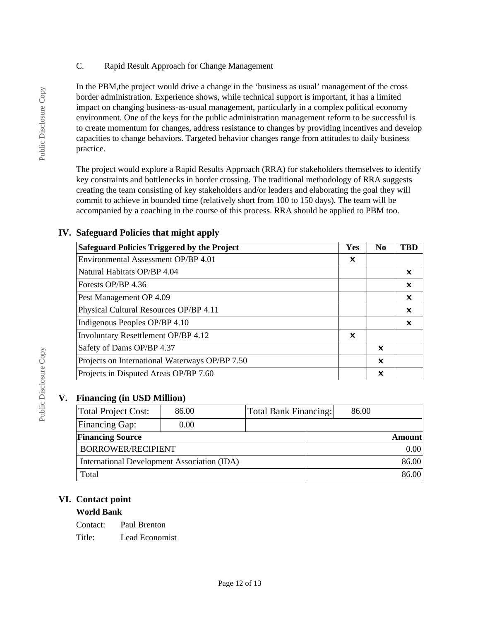C. Rapid Result Approach for Change Management

In the PBM,the project would drive a change in the 'business as usual' management of the cross border administration. Experience shows, while technical support is important, it has a limited impact on changing business-as-usual management, particularly in a complex political economy environment. One of the keys for the public administration management reform to be successful is to create momentum for changes, address resistance to changes by providing incentives and develop capacities to change behaviors. Targeted behavior changes range from attitudes to daily business practice.

The project would explore a Rapid Results Approach (RRA) for stakeholders themselves to identify key constraints and bottlenecks in border crossing. The traditional methodology of RRA suggests creating the team consisting of key stakeholders and/or leaders and elaborating the goal they will commit to achieve in bounded time (relatively short from 100 to 150 days). The team will be accompanied by a coaching in the course of this process. RRA should be applied to PBM too.

| <b>Safeguard Policies Triggered by the Project</b> | Yes                       | N <sub>0</sub> | <b>TBD</b>                |  |
|----------------------------------------------------|---------------------------|----------------|---------------------------|--|
| Environmental Assessment OP/BP 4.01                | $\boldsymbol{\mathsf{x}}$ |                |                           |  |
| Natural Habitats OP/BP 4.04                        |                           |                | x                         |  |
| Forests OP/BP 4.36                                 |                           |                | $\boldsymbol{\mathsf{x}}$ |  |
| Pest Management OP 4.09                            |                           |                | $\boldsymbol{\mathsf{x}}$ |  |
| Physical Cultural Resources OP/BP 4.11             |                           |                | $\boldsymbol{\mathsf{x}}$ |  |
| Indigenous Peoples OP/BP 4.10                      |                           |                | ×                         |  |
| <b>Involuntary Resettlement OP/BP 4.12</b>         | $\boldsymbol{\mathsf{x}}$ |                |                           |  |
| Safety of Dams OP/BP 4.37                          |                           | x              |                           |  |
| Projects on International Waterways OP/BP 7.50     |                           | X              |                           |  |
| Projects in Disputed Areas OP/BP 7.60              |                           | ×              |                           |  |

## **IV. Safeguard Policies that might apply**

## **V. Financing (in USD Million)**

| Total Project Cost:                         | 86.00 |  | Total Bank Financing:<br>86.00 |  |               |
|---------------------------------------------|-------|--|--------------------------------|--|---------------|
| Financing Gap:                              | 0.00  |  |                                |  |               |
| <b>Financing Source</b>                     |       |  |                                |  | <b>Amount</b> |
| BORROWER/RECIPIENT                          |       |  |                                |  | 0.00          |
| International Development Association (IDA) |       |  |                                |  | 86.00         |
| Total                                       |       |  |                                |  | 86.00         |

## **VI. Contact point**

## **World Bank**

Contact: Paul Brenton Title: Lead Economist